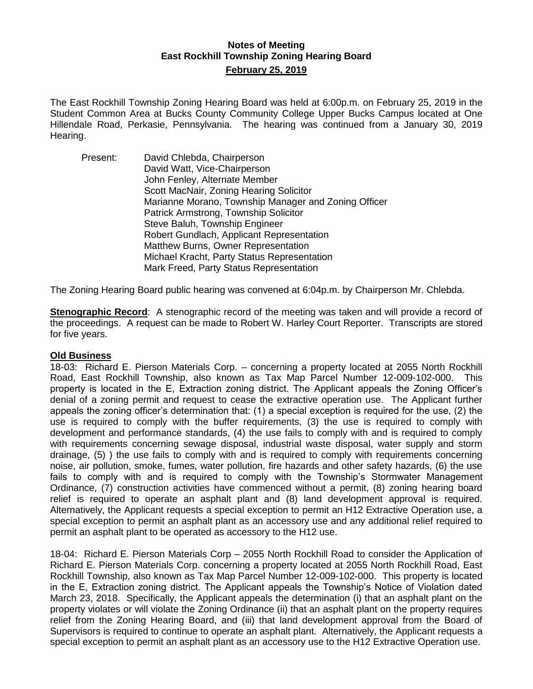## **Notes of Meeting East Rockhill Township Zoning Hearing Board February 25, 2019**

The East Rockhill Township Zoning Hearing Board was held at 6:00p.m. on February 25, 2019 in the Student Common Area at Bucks County Community College Upper Bucks Campus located at One Hillendale Road, Perkasie, Pennsylvania. The hearing was continued from a January 30, 2019 Hearing.

Present: David Chlebda, Chairperson David Watt, Vice-Chairperson John Fenley, Alternate Member Scott MacNair, Zoning Hearing Solicitor Marianne Morano, Township Manager and Zoning Officer Patrick Armstrong, Township Solicitor Steve Baluh, Township Engineer Robert Gundlach, Applicant Representation Matthew Burns, Owner Representation Michael Kracht, Party Status Representation Mark Freed, Party Status Representation

The Zoning Hearing Board public hearing was convened at 6:04p.m. by Chairperson Mr. Chlebda.

**Stenographic Record**: A stenographic record of the meeting was taken and will provide a record of the proceedings. A request can be made to Robert W. Harley Court Reporter. Transcripts are stored for five years.

### **Old Business**

18-03: Richard E. Pierson Materials Corp. – concerning a property located at 2055 North Rockhill Road, East Rockhill Township, also known as Tax Map Parcel Number 12-009-102-000. This property is located in the E, Extraction zoning district. The Applicant appeals the Zoning Officer's denial of a zoning permit and request to cease the extractive operation use. The Applicant further appeals the zoning officer's determination that: (1) a special exception is required for the use, (2) the use is required to comply with the buffer requirements, (3) the use is required to comply with development and performance standards, (4) the use fails to comply with and is required to comply with requirements concerning sewage disposal, industrial waste disposal, water supply and storm drainage, (5) ) the use fails to comply with and is required to comply with requirements concerning noise, air pollution, smoke, fumes, water pollution, fire hazards and other safety hazards, (6) the use fails to comply with and is required to comply with the Township's Stormwater Management Ordinance, (7) construction activities have commenced without a permit, (8) zoning hearing board relief is required to operate an asphalt plant and (8) land development approval is required. Alternatively, the Applicant requests a special exception to permit an H12 Extractive Operation use, a special exception to permit an asphalt plant as an accessory use and any additional relief required to permit an asphalt plant to be operated as accessory to the H12 use.

18-04: Richard E. Pierson Materials Corp – 2055 North Rockhill Road to consider the Application of Richard E. Pierson Materials Corp. concerning a property located at 2055 North Rockhill Road, East Rockhill Township, also known as Tax Map Parcel Number 12-009-102-000. This property is located in the E, Extraction zoning district. The Applicant appeals the Township's Notice of Violation dated March 23, 2018. Specifically, the Applicant appeals the determination (i) that an asphalt plant on the property violates or will violate the Zoning Ordinance (ii) that an asphalt plant on the property requires relief from the Zoning Hearing Board, and (iii) that land development approval from the Board of Supervisors is required to continue to operate an asphalt plant. Alternatively, the Applicant requests a special exception to permit an asphalt plant as an accessory use to the H12 Extractive Operation use.